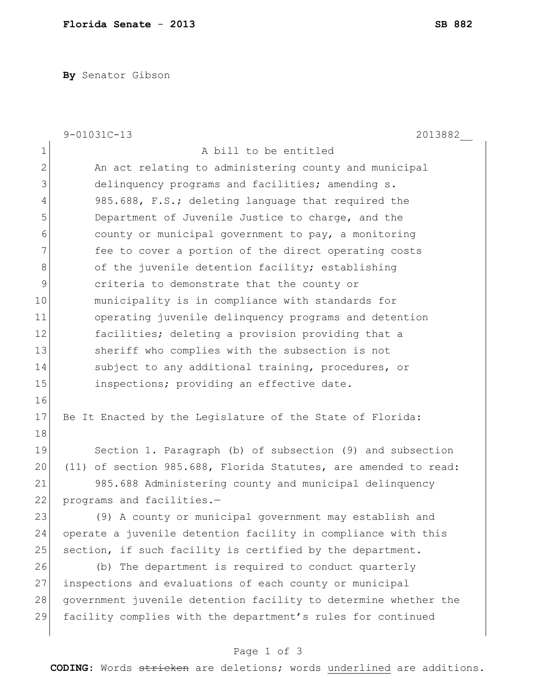**By** Senator Gibson

|                | $9 - 01031C - 13$<br>2013882                                    |
|----------------|-----------------------------------------------------------------|
| $\mathbf 1$    | A bill to be entitled                                           |
| $\mathbf{2}$   | An act relating to administering county and municipal           |
| 3              | delinquency programs and facilities; amending s.                |
| $\overline{4}$ | 985.688, F.S.; deleting language that required the              |
| 5              | Department of Juvenile Justice to charge, and the               |
| 6              | county or municipal government to pay, a monitoring             |
| 7              | fee to cover a portion of the direct operating costs            |
| 8              | of the juvenile detention facility; establishing                |
| 9              | criteria to demonstrate that the county or                      |
| 10             | municipality is in compliance with standards for                |
| 11             | operating juvenile delinquency programs and detention           |
| 12             | facilities; deleting a provision providing that a               |
| 13             | sheriff who complies with the subsection is not                 |
| 14             | subject to any additional training, procedures, or              |
| 15             | inspections; providing an effective date.                       |
| 16             |                                                                 |
| 17             | Be It Enacted by the Legislature of the State of Florida:       |
| 18             |                                                                 |
| 19             | Section 1. Paragraph (b) of subsection (9) and subsection       |
| 20             | (11) of section 985.688, Florida Statutes, are amended to read: |
| 21             | 985.688 Administering county and municipal delinquency          |
| 22             | programs and facilities.-                                       |
| 23             | (9) A county or municipal government may establish and          |
| 24             | operate a juvenile detention facility in compliance with this   |
| 25             | section, if such facility is certified by the department.       |
| 26             | (b) The department is required to conduct quarterly             |
| 27             | inspections and evaluations of each county or municipal         |
| 28             | government juvenile detention facility to determine whether the |
| 29             | facility complies with the department's rules for continued     |
|                |                                                                 |

## Page 1 of 3

**CODING**: Words stricken are deletions; words underlined are additions.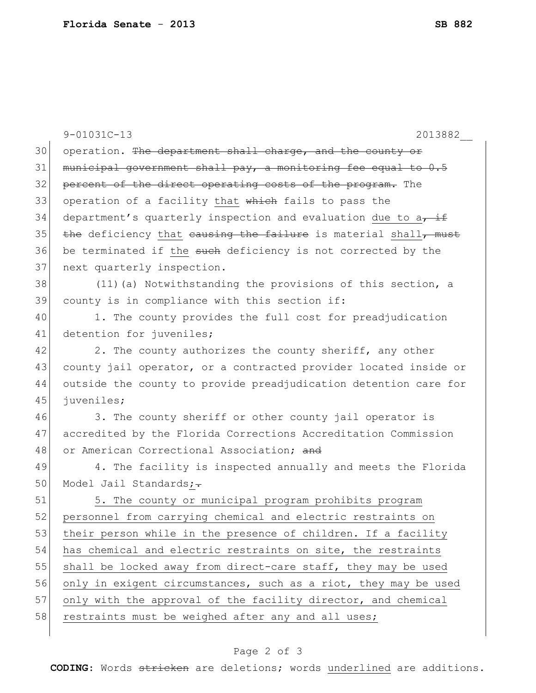|    | $9 - 01031C - 13$<br>2013882                                     |
|----|------------------------------------------------------------------|
| 30 | operation. The department shall charge, and the county or        |
| 31 | municipal government shall pay, a monitoring fee equal to 0.5    |
| 32 | percent of the direct operating costs of the program. The        |
| 33 | operation of a facility that which fails to pass the             |
| 34 | department's quarterly inspection and evaluation due to a, if    |
| 35 | the deficiency that causing the failure is material shall, must  |
| 36 | be terminated if the such deficiency is not corrected by the     |
| 37 | next quarterly inspection.                                       |
| 38 | (11) (a) Notwithstanding the provisions of this section, a       |
| 39 | county is in compliance with this section if:                    |
| 40 | 1. The county provides the full cost for preadjudication         |
| 41 | detention for juveniles;                                         |
| 42 | 2. The county authorizes the county sheriff, any other           |
| 43 | county jail operator, or a contracted provider located inside or |
| 44 | outside the county to provide preadjudication detention care for |
| 45 | juveniles;                                                       |
| 46 | 3. The county sheriff or other county jail operator is           |
| 47 | accredited by the Florida Corrections Accreditation Commission   |
| 48 | or American Correctional Association; and                        |
| 49 | 4. The facility is inspected annually and meets the Florida      |
| 50 | Model Jail Standards;-                                           |
| 51 | 5. The county or municipal program prohibits program             |
| 52 | personnel from carrying chemical and electric restraints on      |
| 53 | their person while in the presence of children. If a facility    |
| 54 | has chemical and electric restraints on site, the restraints     |
| 55 | shall be locked away from direct-care staff, they may be used    |
| 56 | only in exigent circumstances, such as a riot, they may be used  |
| 57 | only with the approval of the facility director, and chemical    |
| 58 | restraints must be weighed after any and all uses;               |
|    |                                                                  |

## Page 2 of 3

**CODING**: Words stricken are deletions; words underlined are additions.